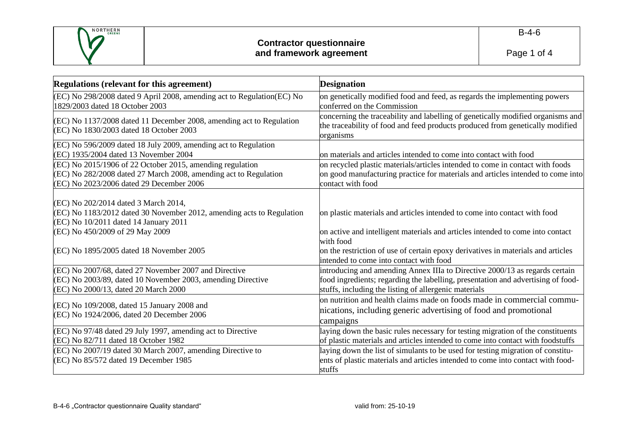

| <b>Regulations (relevant for this agreement)</b>                                                                                                                                          | <b>Designation</b>                                                                                                                                                                                                       |
|-------------------------------------------------------------------------------------------------------------------------------------------------------------------------------------------|--------------------------------------------------------------------------------------------------------------------------------------------------------------------------------------------------------------------------|
| (EC) No 298/2008 dated 9 April 2008, amending act to Regulation(EC) No<br>1829/2003 dated 18 October 2003                                                                                 | on genetically modified food and feed, as regards the implementing powers<br>conferred on the Commission                                                                                                                 |
| (EC) No 1137/2008 dated 11 December 2008, amending act to Regulation<br>(EC) No 1830/2003 dated 18 October 2003                                                                           | concerning the traceability and labelling of genetically modified organisms and<br>the traceability of food and feed products produced from genetically modified<br>organisms                                            |
| (EC) No 596/2009 dated 18 July 2009, amending act to Regulation<br>(EC) 1935/2004 dated 13 November 2004                                                                                  | on materials and articles intended to come into contact with food                                                                                                                                                        |
| (EC) No 2015/1906 of 22 October 2015, amending regulation<br>(EC) No 282/2008 dated 27 March 2008, amending act to Regulation<br>(EC) No 2023/2006 dated 29 December 2006                 | on recycled plastic materials/articles intended to come in contact with foods<br>on good manufacturing practice for materials and articles intended to come into<br>contact with food                                    |
| (EC) No 202/2014 dated 3 March 2014,<br>(EC) No 1183/2012 dated 30 November 2012, amending acts to Regulation<br>(EC) No 10/2011 dated 14 January 2011<br>(EC) No 450/2009 of 29 May 2009 | on plastic materials and articles intended to come into contact with food<br>on active and intelligent materials and articles intended to come into contact                                                              |
| (EC) No 1895/2005 dated 18 November 2005                                                                                                                                                  | with food<br>on the restriction of use of certain epoxy derivatives in materials and articles<br>intended to come into contact with food                                                                                 |
| (EC) No 2007/68, dated 27 November 2007 and Directive<br>(EC) No 2003/89, dated 10 November 2003, amending Directive<br>(EC) No 2000/13, dated 20 March 2000                              | introducing and amending Annex IIIa to Directive 2000/13 as regards certain<br>food ingredients; regarding the labelling, presentation and advertising of food-<br>stuffs, including the listing of allergenic materials |
| (EC) No 109/2008, dated 15 January 2008 and<br>(EC) No 1924/2006, dated 20 December 2006                                                                                                  | on nutrition and health claims made on foods made in commercial commu-<br>nications, including generic advertising of food and promotional<br>campaigns                                                                  |
| (EC) No 97/48 dated 29 July 1997, amending act to Directive<br>$(EC)$ No $82/711$ dated 18 October 1982                                                                                   | laying down the basic rules necessary for testing migration of the constituents<br>of plastic materials and articles intended to come into contact with foodstuffs                                                       |
| (EC) No 2007/19 dated 30 March 2007, amending Directive to<br>(EC) No 85/572 dated 19 December 1985                                                                                       | laying down the list of simulants to be used for testing migration of constitu-<br>ents of plastic materials and articles intended to come into contact with food-<br>stuffs                                             |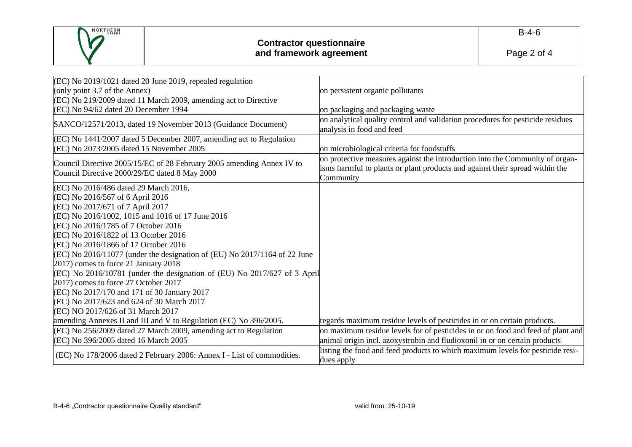

| (EC) No 2019/1021 dated 20 June 2019, repealed regulation                                                              |                                                                                                                                                                           |
|------------------------------------------------------------------------------------------------------------------------|---------------------------------------------------------------------------------------------------------------------------------------------------------------------------|
| (only point 3.7 of the Annex)                                                                                          | on persistent organic pollutants                                                                                                                                          |
| (EC) No 219/2009 dated 11 March 2009, amending act to Directive                                                        |                                                                                                                                                                           |
| (EC) No 94/62 dated 20 December 1994                                                                                   | on packaging and packaging waste                                                                                                                                          |
| SANCO/12571/2013, dated 19 November 2013 (Guidance Document)                                                           | on analytical quality control and validation procedures for pesticide residues<br>analysis in food and feed                                                               |
| (EC) No 1441/2007 dated 5 December 2007, amending act to Regulation<br>(EC) No 2073/2005 dated 15 November 2005        | on microbiological criteria for foodstuffs                                                                                                                                |
| Council Directive 2005/15/EC of 28 February 2005 amending Annex IV to<br>Council Directive 2000/29/EC dated 8 May 2000 | on protective measures against the introduction into the Community of organ-<br>isms harmful to plants or plant products and against their spread within the<br>Community |
| (EC) No 2016/486 dated 29 March 2016,                                                                                  |                                                                                                                                                                           |
| (EC) No 2016/567 of 6 April 2016                                                                                       |                                                                                                                                                                           |
| (EC) No 2017/671 of 7 April 2017                                                                                       |                                                                                                                                                                           |
| (EC) No 2016/1002, 1015 and 1016 of 17 June 2016                                                                       |                                                                                                                                                                           |
| (EC) No 2016/1785 of 7 October 2016                                                                                    |                                                                                                                                                                           |
| (EC) No 2016/1822 of 13 October 2016                                                                                   |                                                                                                                                                                           |
| (EC) No 2016/1866 of 17 October 2016                                                                                   |                                                                                                                                                                           |
| $(EC)$ No 2016/11077 (under the designation of (EU) No 2017/1164 of 22 June                                            |                                                                                                                                                                           |
| 2017) comes to force 21 January 2018                                                                                   |                                                                                                                                                                           |
| (EC) No 2016/10781 (under the designation of (EU) No 2017/627 of 3 April                                               |                                                                                                                                                                           |
| 2017) comes to force 27 October 2017                                                                                   |                                                                                                                                                                           |
| (EC) No 2017/170 and 171 of 30 January 2017                                                                            |                                                                                                                                                                           |
| (EC) No 2017/623 and 624 of 30 March 2017                                                                              |                                                                                                                                                                           |
| (EC) NO 2017/626 of 31 March 2017                                                                                      |                                                                                                                                                                           |
| amending Annexes II and III and V to Regulation (EC) No 396/2005.                                                      | regards maximum residue levels of pesticides in or on certain products.                                                                                                   |
| (EC) No 256/2009 dated 27 March 2009, amending act to Regulation                                                       | on maximum residue levels for of pesticides in or on food and feed of plant and                                                                                           |
| (EC) No 396/2005 dated 16 March 2005                                                                                   | animal origin incl. azoxystrobin and fludioxonil in or on certain products                                                                                                |
| (EC) No 178/2006 dated 2 February 2006: Annex I - List of commodities.                                                 | listing the food and feed products to which maximum levels for pesticide resi-                                                                                            |
|                                                                                                                        | dues apply                                                                                                                                                                |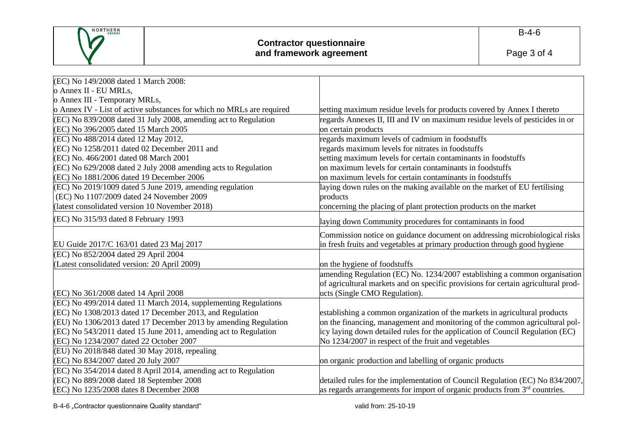

| (EC) No 149/2008 dated 1 March 2008:                                  |                                                                                   |
|-----------------------------------------------------------------------|-----------------------------------------------------------------------------------|
| o Annex II - EU MRLs,                                                 |                                                                                   |
| o Annex III - Temporary MRLs,                                         |                                                                                   |
| o Annex IV - List of active substances for which no MRLs are required | setting maximum residue levels for products covered by Annex I thereto            |
| (EC) No 839/2008 dated 31 July 2008, amending act to Regulation       | regards Annexes II, III and IV on maximum residue levels of pesticides in or      |
| (EC) No 396/2005 dated 15 March 2005                                  | on certain products                                                               |
| (EC) No 488/2014 dated 12 May 2012,                                   | regards maximum levels of cadmium in foodstuffs                                   |
| (EC) No 1258/2011 dated 02 December 2011 and                          | regards maximum levels for nitrates in foodstuffs                                 |
| (EC) No. 466/2001 dated 08 March 2001                                 | setting maximum levels for certain contaminants in foodstuffs                     |
| (EC) No 629/2008 dated 2 July 2008 amending acts to Regulation        | on maximum levels for certain contaminants in foodstuffs                          |
| (EC) No 1881/2006 dated 19 December 2006                              | on maximum levels for certain contaminants in foodstuffs                          |
| (EC) No 2019/1009 dated 5 June 2019, amending regulation              | laying down rules on the making available on the market of EU fertilising         |
| (EC) No 1107/2009 dated 24 November 2009                              | products                                                                          |
| (latest consolidated version 10 November 2018)                        | concerning the placing of plant protection products on the market                 |
| (EC) No 315/93 dated 8 February 1993                                  | laying down Community procedures for contaminants in food                         |
|                                                                       | Commission notice on guidance document on addressing microbiological risks        |
| EU Guide 2017/C 163/01 dated 23 Maj 2017                              | in fresh fruits and vegetables at primary production through good hygiene         |
| (EC) No 852/2004 dated 29 April 2004                                  |                                                                                   |
| (Latest consolidated version: 20 April 2009)                          | on the hygiene of foodstuffs                                                      |
|                                                                       | amending Regulation (EC) No. 1234/2007 establishing a common organisation         |
|                                                                       | of agricultural markets and on specific provisions for certain agricultural prod- |
| (EC) No 361/2008 dated 14 April 2008                                  | ucts (Single CMO Regulation).                                                     |
| (EC) No 499/2014 dated 11 March 2014, supplementing Regulations       |                                                                                   |
| (EC) No 1308/2013 dated 17 December 2013, and Regulation              | establishing a common organization of the markets in agricultural products        |
| (EU) No 1306/2013 dated 17 December 2013 by amending Regulation       | on the financing, management and monitoring of the common agricultural pol-       |
| (EC) No 543/2011 dated 15 June 2011, amending act to Regulation       | icy laying down detailed rules for the application of Council Regulation (EC)     |
| (EC) No 1234/2007 dated 22 October 2007                               | No 1234/2007 in respect of the fruit and vegetables                               |
| (EU) No 2018/848 dated 30 May 2018, repealing                         |                                                                                   |
| (EC) No 834/2007 dated 20 July 2007                                   | on organic production and labelling of organic products                           |
| (EC) No 354/2014 dated 8 April 2014, amending act to Regulation       |                                                                                   |
| (EC) No 889/2008 dated 18 September 2008                              | detailed rules for the implementation of Council Regulation (EC) No 834/2007,     |
| (EC) No 1235/2008 dates 8 December 2008                               | as regards arrangements for import of organic products from $3rd$ countries.      |